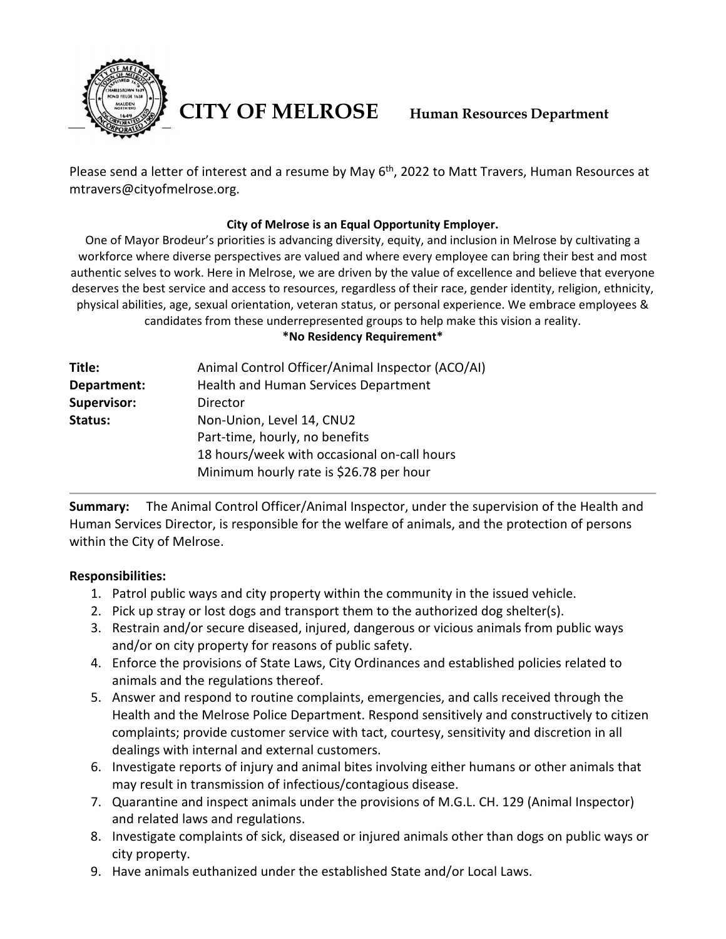

**CITY OF MELROSE Human Resources Department**

Please send a letter of interest and a resume by May 6<sup>th</sup>, 2022 to Matt Travers, Human Resources at mtravers@cityofmelrose.org.

# **City of Melrose is an Equal Opportunity Employer.**

One of Mayor Brodeur's priorities is advancing diversity, equity, and inclusion in Melrose by cultivating a workforce where diverse perspectives are valued and where every employee can bring their best and most authentic selves to work. Here in Melrose, we are driven by the value of excellence and believe that everyone deserves the best service and access to resources, regardless of their race, gender identity, religion, ethnicity, physical abilities, age, sexual orientation, veteran status, or personal experience. We embrace employees & candidates from these underrepresented groups to help make this vision a reality.

**\*No Residency Requirement\***

| Title:      | Animal Control Officer/Animal Inspector (ACO/AI) |
|-------------|--------------------------------------------------|
| Department: | Health and Human Services Department             |
| Supervisor: | Director                                         |
| Status:     | Non-Union, Level 14, CNU2                        |
|             | Part-time, hourly, no benefits                   |
|             | 18 hours/week with occasional on-call hours      |
|             | Minimum hourly rate is \$26.78 per hour          |
|             |                                                  |

**Summary:** The Animal Control Officer/Animal Inspector, under the supervision of the Health and Human Services Director, is responsible for the welfare of animals, and the protection of persons within the City of Melrose.

# **Responsibilities:**

- 1. Patrol public ways and city property within the community in the issued vehicle.
- 2. Pick up stray or lost dogs and transport them to the authorized dog shelter(s).
- 3. Restrain and/or secure diseased, injured, dangerous or vicious animals from public ways and/or on city property for reasons of public safety.
- 4. Enforce the provisions of State Laws, City Ordinances and established policies related to animals and the regulations thereof.
- 5. Answer and respond to routine complaints, emergencies, and calls received through the Health and the Melrose Police Department. Respond sensitively and constructively to citizen complaints; provide customer service with tact, courtesy, sensitivity and discretion in all dealings with internal and external customers.
- 6. Investigate reports of injury and animal bites involving either humans or other animals that may result in transmission of infectious/contagious disease.
- 7. Quarantine and inspect animals under the provisions of M.G.L. CH. 129 (Animal Inspector) and related laws and regulations.
- 8. Investigate complaints of sick, diseased or injured animals other than dogs on public ways or city property.
- 9. Have animals euthanized under the established State and/or Local Laws.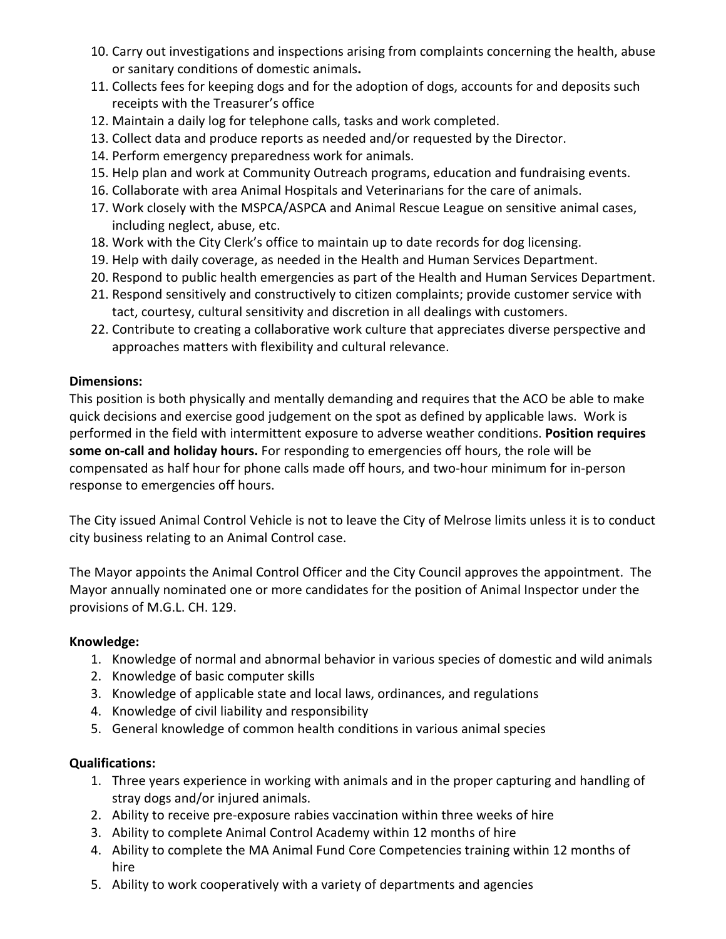- 10. Carry out investigations and inspections arising from complaints concerning the health, abuse or sanitary conditions of domestic animals**.**
- 11. Collects fees for keeping dogs and for the adoption of dogs, accounts for and deposits such receipts with the Treasurer's office
- 12. Maintain a daily log for telephone calls, tasks and work completed.
- 13. Collect data and produce reports as needed and/or requested by the Director.
- 14. Perform emergency preparedness work for animals.
- 15. Help plan and work at Community Outreach programs, education and fundraising events.
- 16. Collaborate with area Animal Hospitals and Veterinarians for the care of animals.
- 17. Work closely with the MSPCA/ASPCA and Animal Rescue League on sensitive animal cases, including neglect, abuse, etc.
- 18. Work with the City Clerk's office to maintain up to date records for dog licensing.
- 19. Help with daily coverage, as needed in the Health and Human Services Department.
- 20. Respond to public health emergencies as part of the Health and Human Services Department.
- 21. Respond sensitively and constructively to citizen complaints; provide customer service with tact, courtesy, cultural sensitivity and discretion in all dealings with customers.
- 22. Contribute to creating a collaborative work culture that appreciates diverse perspective and approaches matters with flexibility and cultural relevance.

# **Dimensions:**

This position is both physically and mentally demanding and requires that the ACO be able to make quick decisions and exercise good judgement on the spot as defined by applicable laws. Work is performed in the field with intermittent exposure to adverse weather conditions. **Position requires some on-call and holiday hours.** For responding to emergencies off hours, the role will be compensated as half hour for phone calls made off hours, and two-hour minimum for in-person response to emergencies off hours.

The City issued Animal Control Vehicle is not to leave the City of Melrose limits unless it is to conduct city business relating to an Animal Control case.

The Mayor appoints the Animal Control Officer and the City Council approves the appointment. The Mayor annually nominated one or more candidates for the position of Animal Inspector under the provisions of M.G.L. CH. 129.

# **Knowledge:**

- 1. Knowledge of normal and abnormal behavior in various species of domestic and wild animals
- 2. Knowledge of basic computer skills
- 3. Knowledge of applicable state and local laws, ordinances, and regulations
- 4. Knowledge of civil liability and responsibility
- 5. General knowledge of common health conditions in various animal species

# **Qualifications:**

- 1. Three years experience in working with animals and in the proper capturing and handling of stray dogs and/or injured animals.
- 2. Ability to receive pre-exposure rabies vaccination within three weeks of hire
- 3. Ability to complete Animal Control Academy within 12 months of hire
- 4. Ability to complete the MA Animal Fund Core Competencies training within 12 months of hire
- 5. Ability to work cooperatively with a variety of departments and agencies